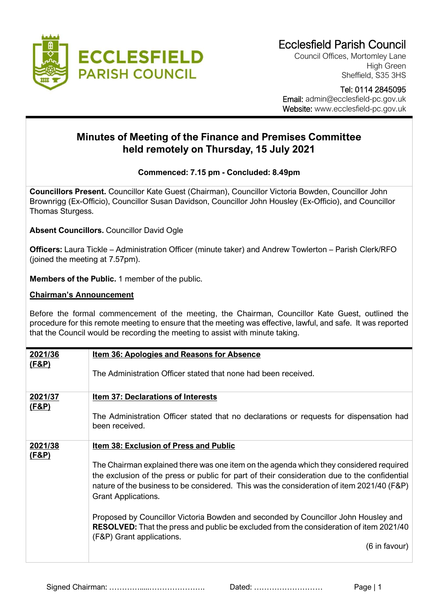

Council Offices, Mortomley Lane High Green Sheffield, S35 3HS

 Tel: 0114 2845095 Email: admin@ecclesfield-pc.gov.uk Website: www.ecclesfield-pc.gov.uk

## **Minutes of Meeting of the Finance and Premises Committee held remotely on Thursday, 15 July 2021**

## **Commenced: 7.15 pm - Concluded: 8.49pm**

**Councillors Present.** Councillor Kate Guest (Chairman), Councillor Victoria Bowden, Councillor John Brownrigg (Ex-Officio), Councillor Susan Davidson, Councillor John Housley (Ex-Officio), and Councillor Thomas Sturgess.

**Absent Councillors.** Councillor David Ogle

**Officers:** Laura Tickle – Administration Officer (minute taker) and Andrew Towlerton – Parish Clerk/RFO (joined the meeting at 7.57pm).

**Members of the Public.** 1 member of the public.

## **Chairman's Announcement**

Before the formal commencement of the meeting, the Chairman, Councillor Kate Guest, outlined the procedure for this remote meeting to ensure that the meeting was effective, lawful, and safe. It was reported that the Council would be recording the meeting to assist with minute taking.

| 2021/36                     | <b>Item 36: Apologies and Reasons for Absence</b>                                                                                                                                                                                                                                                                 |
|-----------------------------|-------------------------------------------------------------------------------------------------------------------------------------------------------------------------------------------------------------------------------------------------------------------------------------------------------------------|
| (F&P)                       | The Administration Officer stated that none had been received.                                                                                                                                                                                                                                                    |
| 2021/37<br><u>(F&amp;P)</u> | <b>Item 37: Declarations of Interests</b>                                                                                                                                                                                                                                                                         |
|                             | The Administration Officer stated that no declarations or requests for dispensation had<br>been received.                                                                                                                                                                                                         |
| 2021/38<br>(F&P)            | <b>Item 38: Exclusion of Press and Public</b>                                                                                                                                                                                                                                                                     |
|                             | The Chairman explained there was one item on the agenda which they considered required<br>the exclusion of the press or public for part of their consideration due to the confidential<br>nature of the business to be considered. This was the consideration of item 2021/40 (F&P)<br><b>Grant Applications.</b> |
|                             | Proposed by Councillor Victoria Bowden and seconded by Councillor John Housley and<br>RESOLVED: That the press and public be excluded from the consideration of item 2021/40<br>(F&P) Grant applications.                                                                                                         |
|                             | $(6 \text{ in favour})$                                                                                                                                                                                                                                                                                           |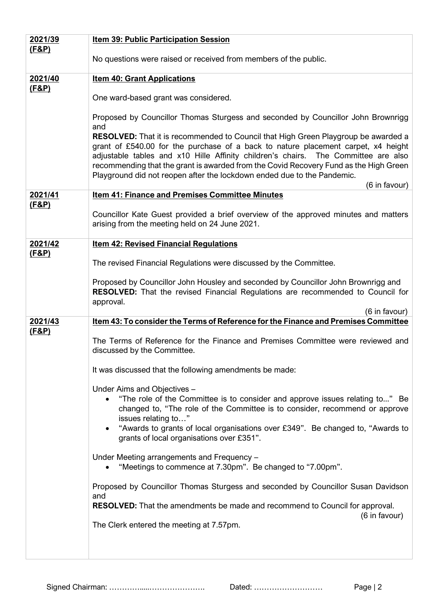| 2021/39          | <b>Item 39: Public Participation Session</b>                                                                                                                                                                                                                                                                                                                                                                                             |
|------------------|------------------------------------------------------------------------------------------------------------------------------------------------------------------------------------------------------------------------------------------------------------------------------------------------------------------------------------------------------------------------------------------------------------------------------------------|
| <u>(F&amp;P)</u> | No questions were raised or received from members of the public.                                                                                                                                                                                                                                                                                                                                                                         |
| 2021/40          | <b>Item 40: Grant Applications</b>                                                                                                                                                                                                                                                                                                                                                                                                       |
| <u>(F&amp;P)</u> | One ward-based grant was considered.                                                                                                                                                                                                                                                                                                                                                                                                     |
|                  | Proposed by Councillor Thomas Sturgess and seconded by Councillor John Brownrigg<br>and                                                                                                                                                                                                                                                                                                                                                  |
|                  | <b>RESOLVED:</b> That it is recommended to Council that High Green Playgroup be awarded a<br>grant of £540.00 for the purchase of a back to nature placement carpet, x4 height<br>adjustable tables and x10 Hille Affinity children's chairs. The Committee are also<br>recommending that the grant is awarded from the Covid Recovery Fund as the High Green<br>Playground did not reopen after the lockdown ended due to the Pandemic. |
| 2021/41          | (6 in favour)<br><b>Item 41: Finance and Premises Committee Minutes</b>                                                                                                                                                                                                                                                                                                                                                                  |
| <u>(F&amp;P)</u> |                                                                                                                                                                                                                                                                                                                                                                                                                                          |
|                  | Councillor Kate Guest provided a brief overview of the approved minutes and matters<br>arising from the meeting held on 24 June 2021.                                                                                                                                                                                                                                                                                                    |
| 2021/42          | <b>Item 42: Revised Financial Regulations</b>                                                                                                                                                                                                                                                                                                                                                                                            |
| <u>(F&amp;P)</u> | The revised Financial Regulations were discussed by the Committee.                                                                                                                                                                                                                                                                                                                                                                       |
|                  | Proposed by Councillor John Housley and seconded by Councillor John Brownrigg and<br><b>RESOLVED:</b> That the revised Financial Regulations are recommended to Council for<br>approval.                                                                                                                                                                                                                                                 |
|                  | (6 in favour)                                                                                                                                                                                                                                                                                                                                                                                                                            |
| 2021/43          | Item 43: To consider the Terms of Reference for the Finance and Premises Committee                                                                                                                                                                                                                                                                                                                                                       |
| <u>(F&amp;P)</u> | The Terms of Reference for the Finance and Premises Committee were reviewed and<br>discussed by the Committee.                                                                                                                                                                                                                                                                                                                           |
|                  | It was discussed that the following amendments be made:                                                                                                                                                                                                                                                                                                                                                                                  |
|                  | Under Aims and Objectives -<br>"The role of the Committee is to consider and approve issues relating to" Be<br>changed to, "The role of the Committee is to consider, recommend or approve<br>issues relating to"                                                                                                                                                                                                                        |
|                  | "Awards to grants of local organisations over £349". Be changed to, "Awards to<br>grants of local organisations over £351".                                                                                                                                                                                                                                                                                                              |
|                  | Under Meeting arrangements and Frequency -<br>"Meetings to commence at 7.30pm". Be changed to "7.00pm".                                                                                                                                                                                                                                                                                                                                  |
|                  | Proposed by Councillor Thomas Sturgess and seconded by Councillor Susan Davidson<br>and                                                                                                                                                                                                                                                                                                                                                  |
|                  | <b>RESOLVED:</b> That the amendments be made and recommend to Council for approval.<br>(6 in favour)                                                                                                                                                                                                                                                                                                                                     |
|                  | The Clerk entered the meeting at 7.57pm.                                                                                                                                                                                                                                                                                                                                                                                                 |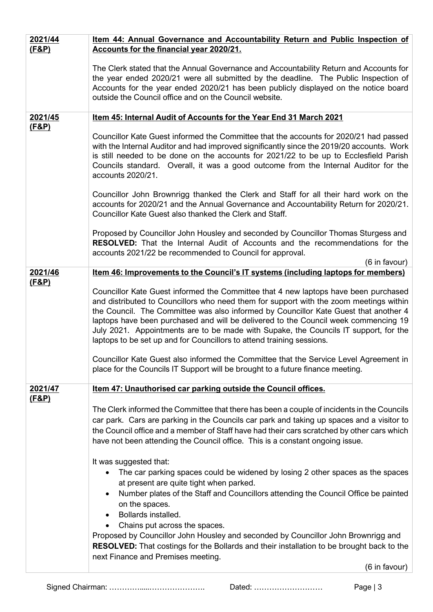| 2021/44<br>(F&P) | Item 44: Annual Governance and Accountability Return and Public Inspection of<br>Accounts for the financial year 2020/21.                                                                                                                                                                                                                                                                                                                                                                                                                                                                                                                                                                                |
|------------------|----------------------------------------------------------------------------------------------------------------------------------------------------------------------------------------------------------------------------------------------------------------------------------------------------------------------------------------------------------------------------------------------------------------------------------------------------------------------------------------------------------------------------------------------------------------------------------------------------------------------------------------------------------------------------------------------------------|
|                  | The Clerk stated that the Annual Governance and Accountability Return and Accounts for<br>the year ended 2020/21 were all submitted by the deadline. The Public Inspection of<br>Accounts for the year ended 2020/21 has been publicly displayed on the notice board<br>outside the Council office and on the Council website.                                                                                                                                                                                                                                                                                                                                                                           |
| 2021/45          | Item 45: Internal Audit of Accounts for the Year End 31 March 2021                                                                                                                                                                                                                                                                                                                                                                                                                                                                                                                                                                                                                                       |
| (F&P)            | Councillor Kate Guest informed the Committee that the accounts for 2020/21 had passed<br>with the Internal Auditor and had improved significantly since the 2019/20 accounts. Work<br>is still needed to be done on the accounts for 2021/22 to be up to Ecclesfield Parish<br>Councils standard. Overall, it was a good outcome from the Internal Auditor for the<br>accounts 2020/21.                                                                                                                                                                                                                                                                                                                  |
|                  | Councillor John Brownrigg thanked the Clerk and Staff for all their hard work on the<br>accounts for 2020/21 and the Annual Governance and Accountability Return for 2020/21.<br>Councillor Kate Guest also thanked the Clerk and Staff.                                                                                                                                                                                                                                                                                                                                                                                                                                                                 |
|                  | Proposed by Councillor John Housley and seconded by Councillor Thomas Sturgess and<br><b>RESOLVED:</b> That the Internal Audit of Accounts and the recommendations for the<br>accounts 2021/22 be recommended to Council for approval.<br>(6 in favour)                                                                                                                                                                                                                                                                                                                                                                                                                                                  |
| 2021/46          | <u>Item 46: Improvements to the Council's IT systems (including laptops for members)</u>                                                                                                                                                                                                                                                                                                                                                                                                                                                                                                                                                                                                                 |
| <u>(F&amp;P)</u> | Councillor Kate Guest informed the Committee that 4 new laptops have been purchased<br>and distributed to Councillors who need them for support with the zoom meetings within<br>the Council. The Committee was also informed by Councillor Kate Guest that another 4<br>laptops have been purchased and will be delivered to the Council week commencing 19<br>July 2021. Appointments are to be made with Supake, the Councils IT support, for the<br>laptops to be set up and for Councillors to attend training sessions.<br>Councillor Kate Guest also informed the Committee that the Service Level Agreement in<br>place for the Councils IT Support will be brought to a future finance meeting. |
| 2021/47          | Item 47: Unauthorised car parking outside the Council offices.                                                                                                                                                                                                                                                                                                                                                                                                                                                                                                                                                                                                                                           |
| (F&P)            | The Clerk informed the Committee that there has been a couple of incidents in the Councils<br>car park. Cars are parking in the Councils car park and taking up spaces and a visitor to<br>the Council office and a member of Staff have had their cars scratched by other cars which<br>have not been attending the Council office. This is a constant ongoing issue.                                                                                                                                                                                                                                                                                                                                   |
|                  | It was suggested that:<br>The car parking spaces could be widened by losing 2 other spaces as the spaces<br>at present are quite tight when parked.<br>Number plates of the Staff and Councillors attending the Council Office be painted<br>$\bullet$<br>on the spaces.<br>Bollards installed.<br>Chains put across the spaces.<br>Proposed by Councillor John Housley and seconded by Councillor John Brownrigg and                                                                                                                                                                                                                                                                                    |
|                  | <b>RESOLVED:</b> That costings for the Bollards and their installation to be brought back to the<br>next Finance and Premises meeting.<br>(6 in favour)                                                                                                                                                                                                                                                                                                                                                                                                                                                                                                                                                  |